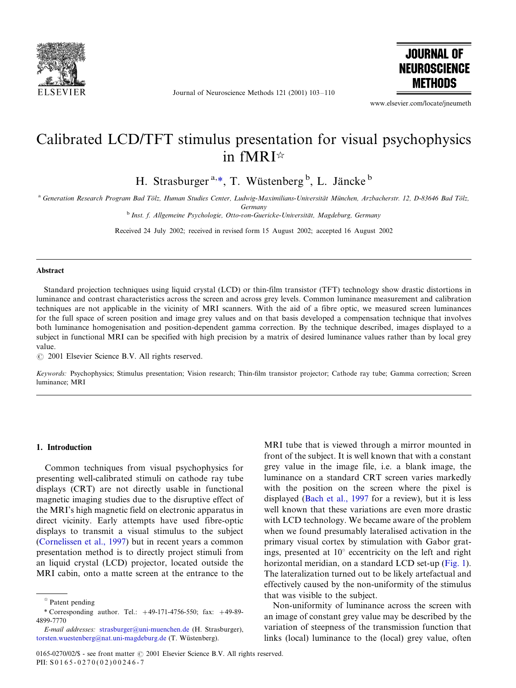

Journal of Neuroscience Methods 121 (2001) 103-110



www.elsevier.com/locate/jneumeth

# Calibrated LCD/TFT stimulus presentation for visual psychophysics in fMRI

H. Strasburger<sup>a,\*</sup>, T. Wüstenberg<sup>b</sup>, L. Jäncke<sup>b</sup>

<sup>a</sup> Generation Research Program Bad Tölz, Human Studies Center, Ludwig-Maximilians-Universität München, Arzbacherstr. 12, D-83646 Bad Tölz,

Germany

<sup>b</sup> Inst. f. Allgemeine Psychologie, Otto-von-Guericke-Universität, Magdeburg, Germany

Received 24 July 2002; received in revised form 15 August 2002; accepted 16 August 2002

#### Abstract

Standard projection techniques using liquid crystal (LCD) or thin-film transistor (TFT) technology show drastic distortions in luminance and contrast characteristics across the screen and across grey levels. Common luminance measurement and calibration techniques are not applicable in the vicinity of MRI scanners. With the aid of a fibre optic, we measured screen luminances for the full space of screen position and image grey values and on that basis developed a compensation technique that involves both luminance homogenisation and position-dependent gamma correction. By the technique described, images displayed to a subject in functional MRI can be specified with high precision by a matrix of desired luminance values rather than by local grey value.

 $\odot$  2001 Elsevier Science B.V. All rights reserved.

Keywords: Psychophysics; Stimulus presentation; Vision research; Thin-film transistor projector; Cathode ray tube; Gamma correction; Screen luminance; MRI

## 1. Introduction

Common techniques from visual psychophysics for presenting well-calibrated stimuli on cathode ray tube displays (CRT) are not directly usable in functional magnetic imaging studies due to the disruptive effect of the MRI's high magnetic field on electronic apparatus in direct vicinity. Early attempts have used fibre-optic displays to transmit a visual stimulus to the subject [\(Cornelissen et al., 1997](#page-7-0)) but in recent years a common presentation method is to directly project stimuli from an liquid crystal (LCD) projector, located outside the MRI cabin, onto a matte screen at the entrance to the

MRI tube that is viewed through a mirror mounted in front of the subject. It is well known that with a constant grey value in the image file, i.e. a blank image, the luminance on a standard CRT screen varies markedly with the position on the screen where the pixel is displayed ([Bach et al., 1997](#page-7-0) for a review), but it is less well known that these variations are even more drastic with LCD technology. We became aware of the problem when we found presumably lateralised activation in the primary visual cortex by stimulation with Gabor gratings, presented at  $10^{\circ}$  eccentricity on the left and right horizontal meridian, on a standard LCD set-up [\(Fig. 1\)](#page-1-0). The lateralization turned out to be likely artefactual and effectively caused by the non-uniformity of the stimulus that was visible to the subject.

Non-uniformity of luminance across the screen with an image of constant grey value may be described by the variation of steepness of the transmission function that links (local) luminance to the (local) grey value, often

 $*$  Patent pending

<sup>\*</sup> Corresponding author. Tel.:  $+49-171-4756-550$ ; fax:  $+49-89-$ 4899-7770

E-mail addresses: [strasburger@uni-muenchen.de](mailto:strasburger@uni-muenchen.de) (H. Strasburger), [torsten.wuestenberg@nat.uni-magdeburg.de](mailto:torsten.wuestenberg@nat.uni-magdeburg.de) (T. Wüstenberg).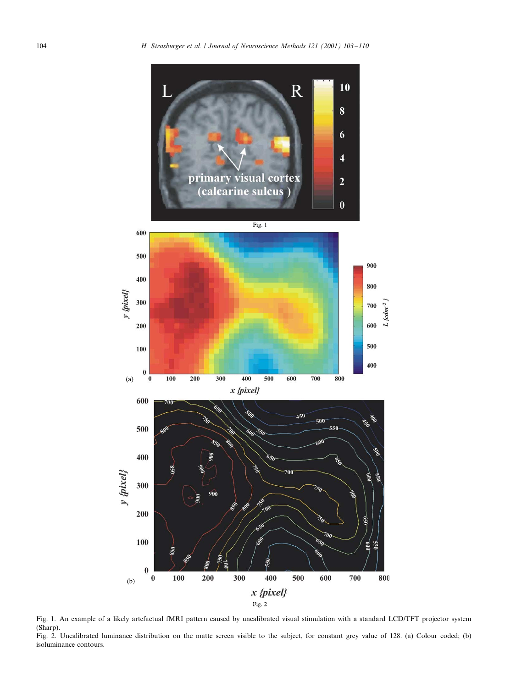<span id="page-1-0"></span>

Fig. 1. An example of a likely artefactual fMRI pattern caused by uncalibrated visual stimulation with a standard LCD/TFT projector system (Sharp).

Fig. 2. Uncalibrated luminance distribution on the matte screen visible to the subject, for constant grey value of 128. (a) Colour coded; (b) isoluminance contours.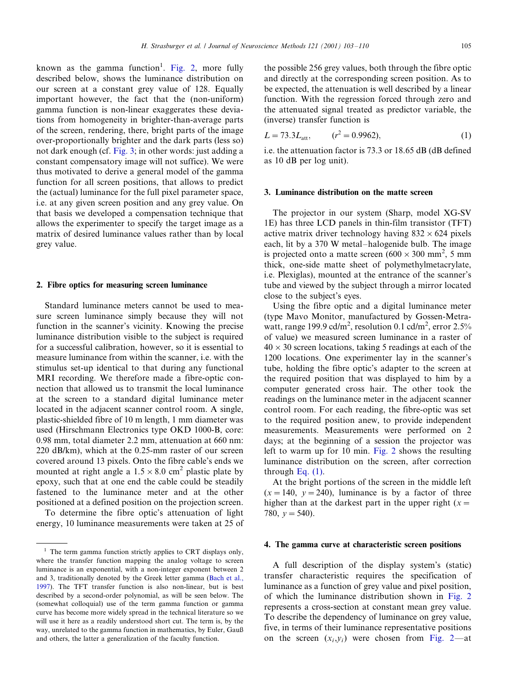known as the gamma function<sup>1</sup>. [Fig. 2](#page-1-0), more fully described below, shows the luminance distribution on our screen at a constant grey value of 128. Equally important however, the fact that the (non-uniform) gamma function is non-linear exaggerates these deviations from homogeneity in brighter-than-average parts of the screen, rendering, there, bright parts of the image over-proportionally brighter and the dark parts (less so) not dark enough (cf. Fig. 3; in other words: just adding a constant compensatory image will not suffice). We were thus motivated to derive a general model of the gamma function for all screen positions, that allows to predict the (actual) luminance for the full pixel parameter space, i.e. at any given screen position and any grey value. On that basis we developed a compensation technique that allows the experimenter to specify the target image as a matrix of desired luminance values rather than by local grey value.

#### 2. Fibre optics for measuring screen luminance

Standard luminance meters cannot be used to measure screen luminance simply because they will not function in the scanner's vicinity. Knowing the precise luminance distribution visible to the subject is required for a successful calibration, however, so it is essential to measure luminance from within the scanner, i.e. with the stimulus set-up identical to that during any functional MRI recording. We therefore made a fibre-optic connection that allowed us to transmit the local luminance at the screen to a standard digital luminance meter located in the adjacent scanner control room. A single, plastic-shielded fibre of 10 m length, 1 mm diameter was used (Hirschmann Electronics type OKD 1000-B, core: 0.98 mm, total diameter 2.2 mm, attenuation at 660 nm: 220 dB/km), which at the 0.25-mm raster of our screen covered around 13 pixels. Onto the fibre cable's ends we mounted at right angle a  $1.5 \times 8.0$  cm<sup>2</sup> plastic plate by epoxy, such that at one end the cable could be steadily fastened to the luminance meter and at the other positioned at a defined position on the projection screen.

To determine the fibre optic's attenuation of light energy, 10 luminance measurements were taken at 25 of

the possible 256 grey values, both through the fibre optic and directly at the corresponding screen position. As to be expected, the attenuation is well described by a linear function. With the regression forced through zero and the attenuated signal treated as predictor variable, the (inverse) transfer function is

$$
L = 73.3Latt, \t(r2 = 0.9962), \t(1)
$$

i.e. the attenuation factor is 73.3 or 18.65 dB (dB defined as 10 dB per log unit).

#### 3. Luminance distribution on the matte screen

The projector in our system (Sharp, model XG-SV 1E) has three LCD panels in thin-film transistor (TFT) active matrix driver technology having  $832 \times 624$  pixels each, lit by a 370 W metal-halogenide bulb. The image is projected onto a matte screen  $(600 \times 300 \text{ mm}^2, 5 \text{ mm}^2)$ thick, one-side matte sheet of polymethylmetacrylate, i.e. Plexiglas), mounted at the entrance of the scanner's tube and viewed by the subject through a mirror located close to the subject's eyes.

Using the fibre optic and a digital luminance meter (type Mavo Monitor, manufactured by Gossen-Metrawatt, range 199.9 cd/m<sup>2</sup>, resolution 0.1 cd/m<sup>2</sup>, error 2.5% of value) we measured screen luminance in a raster of  $40 \times 30$  screen locations, taking 5 readings at each of the 1200 locations. One experimenter lay in the scanner's tube, holding the fibre optic's adapter to the screen at the required position that was displayed to him by a computer generated cross hair. The other took the readings on the luminance meter in the adjacent scanner control room. For each reading, the fibre-optic was set to the required position anew, to provide independent measurements. Measurements were performed on 2 days; at the beginning of a session the projector was left to warm up for 10 min. [Fig. 2](#page-1-0) shows the resulting luminance distribution on the screen, after correction through Eq.  $(1)$ .

At the bright portions of the screen in the middle left  $(x=140, y=240)$ , luminance is by a factor of three higher than at the darkest part in the upper right ( $x =$ 780,  $y = 540$ ).

## 4. The gamma curve at characteristic screen positions

A full description of the display system's (static) transfer characteristic requires the specification of luminance as a function of grey value and pixel position, of which the luminance distribution shown in [Fig. 2](#page-1-0) represents a cross-section at constant mean grey value. To describe the dependency of luminance on grey value, five, in terms of their luminance representative positions on the screen  $(x_i, y_i)$  were chosen from [Fig. 2](#page-1-0)—at

 $<sup>1</sup>$  The term gamma function strictly applies to CRT displays only,</sup> where the transfer function mapping the analog voltage to screen luminance is an exponential, with a non-integer exponent between 2 and 3, traditionally denoted by the Greek letter gamma [\(Bach et al.,](#page-7-0) [1997\)](#page-7-0). The TFT transfer function is also non-linear, but is best described by a second-order polynomial, as will be seen below. The (somewhat colloquial) use of the term gamma function or gamma curve has become more widely spread in the technical literature so we will use it here as a readily understood short cut. The term is, by the way, unrelated to the gamma function in mathematics, by Euler, Gauß and others, the latter a generalization of the faculty function.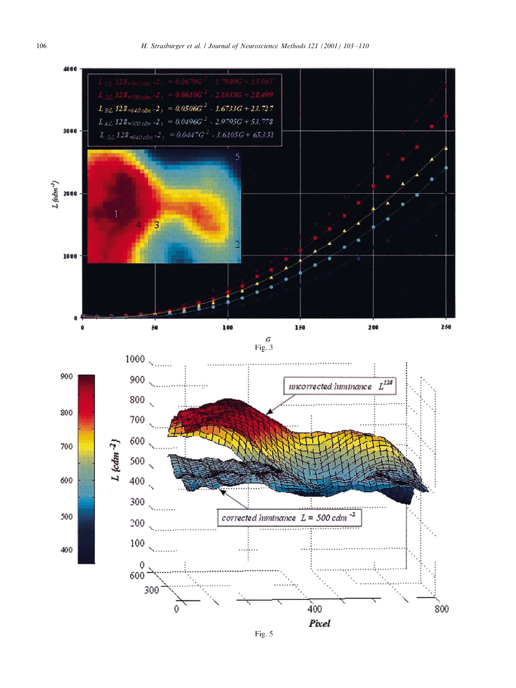

Fig. 5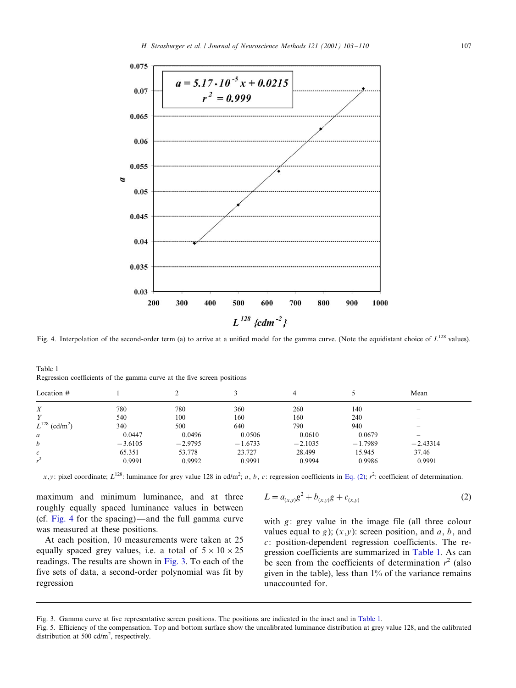<span id="page-4-0"></span>

Fig. 4. Interpolation of the second-order term (a) to arrive at a unified model for the gamma curve. (Note the equidistant choice of  $L^{128}$  values).

Table 1 Regression coefficients of the gamma curve at the five screen positions

| Location $#$            |           |           |           | 4         |           | Mean                     |  |
|-------------------------|-----------|-----------|-----------|-----------|-----------|--------------------------|--|
| X                       | 780       | 780       | 360       | 260       | 140       |                          |  |
| Υ                       | 540       | 100       | 160       | 160       | 240       | -                        |  |
| $L^{128}$<br>$(cd/m^2)$ | 340       | 500       | 640       | 790       | 940       | $\overline{\phantom{0}}$ |  |
| a                       | 0.0447    | 0.0496    | 0.0506    | 0.0610    | 0.0679    | $\overline{\phantom{0}}$ |  |
| b                       | $-3.6105$ | $-2.9795$ | $-1.6733$ | $-2.1035$ | $-1.7989$ | $-2.43314$               |  |
| c                       | 65.351    | 53.778    | 23.727    | 28.499    | 15.945    | 37.46                    |  |
| $\mathbf{r}^2$          | 0.9991    | 0.9992    | 0.9991    | 0.9994    | 0.9986    | 0.9991                   |  |

x,y: pixel coordinate; L<sup>128</sup>: luminance for grey value 128 in cd/m<sup>2</sup>; a, b, c: regression coefficients in Eq. (2);  $r^2$ : coefficient of determination.

maximum and minimum luminance, and at three roughly equally spaced luminance values in between (cf. Fig. 4 for the spacing)—and the full gamma curve was measured at these positions.

At each position, 10 measurements were taken at 25 equally spaced grey values, i.e. a total of  $5 \times 10 \times 25$ readings. The results are shown in Fig. 3. To each of the five sets of data, a second-order polynomial was fit by regression

$$
L = a_{(x,y)}g^{2} + b_{(x,y)}g + c_{(x,y)}
$$
 (2)

with  $g$ : grey value in the image file (all three colour values equal to g);  $(x,y)$ : screen position, and a, b, and  $c$ : position-dependent regression coefficients. The regression coefficients are summarized in Table 1. As can be seen from the coefficients of determination  $r^2$  (also given in the table), less than  $1\%$  of the variance remains unaccounted for.

Fig. 3. Gamma curve at five representative screen positions. The positions are indicated in the inset and in Table 1.

Fig. 5. Efficiency of the compensation. Top and bottom surface show the uncalibrated luminance distribution at grey value 128, and the calibrated distribution at 500 cd/ $m^2$ , respectively.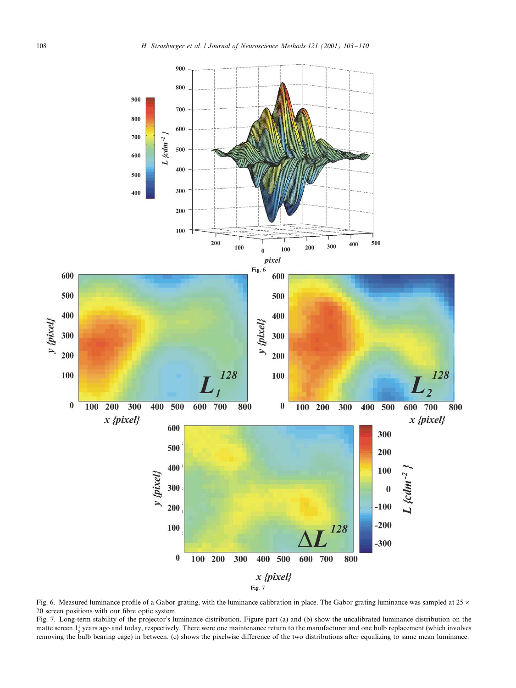<span id="page-5-0"></span>![](_page_5_Figure_1.jpeg)

Fig. 6. Measured luminance profile of a Gabor grating, with the luminance calibration in place. The Gabor grating luminance was sampled at  $25 \times$ 20 screen positions with our fibre optic system.

Fig. 7. Long-term stability of the projector's luminance distribution. Figure part (a) and (b) show the uncalibrated luminance distribution on the matte screen  $1\frac{1}{2}$  years ago and today, respectively. There were one maintenance return to the manufacturer and one bulb replacement (which involves removing the bulb bearing cage) in between. (c) shows the pixelwise difference of the two distributions after equalizing to same mean luminance.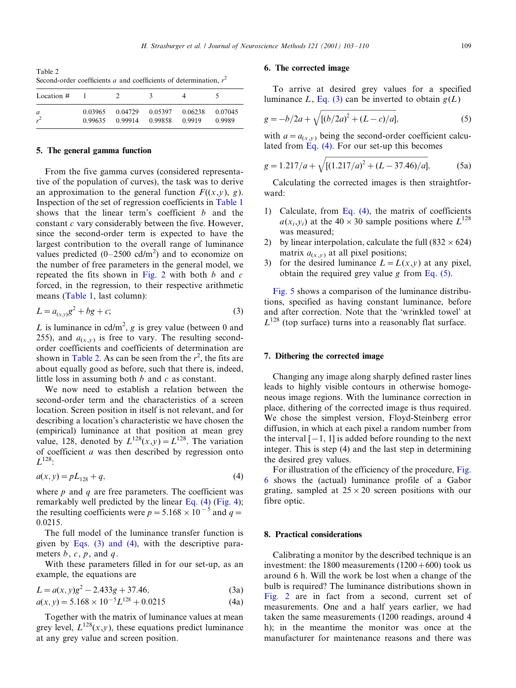<span id="page-6-0"></span>Table 2 Second-order coefficients a and coefficients of determination,  $r^2$ 

| Location # |         |         |         |         |         |
|------------|---------|---------|---------|---------|---------|
| a          | 0.03965 | 0.04729 | 0.05397 | 0.06238 | 0.07045 |
|            | 0.99635 | 0.99914 | 0.99858 | 0.9919  | 0.9989  |

#### 5. The general gamma function

From the five gamma curves (considered representative of the population of curves), the task was to derive an approximation to the general function  $F((x,y), g)$ . Inspection of the set of regression coefficients in [Table 1](#page-4-0) shows that the linear term's coefficient  $b$  and the constant  $c$  vary considerably between the five. However, since the second-order term is expected to have the largest contribution to the overall range of luminance values predicted  $(0-2500 \text{ cd/m}^2)$  and to economize on the number of free parameters in the general model, we repeated the fits shown in [Fig. 2](#page-1-0) with both  $b$  and  $c$ forced, in the regression, to their respective arithmetic means [\(Table 1,](#page-4-0) last column):

$$
L = a_{(x,y)}g^2 + bg + c;
$$
 (3)

L is luminance in cd/m<sup>2</sup>, g is grey value (between 0 and 255), and  $a_{(x,y)}$  is free to vary. The resulting secondorder coefficients and coefficients of determination are shown in Table 2. As can be seen from the  $r^2$ , the fits are about equally good as before, such that there is, indeed, little loss in assuming both  $b$  and  $c$  as constant.

We now need to establish a relation between the second-order term and the characteristics of a screen location. Screen position in itself is not relevant, and for describing a location's characteristic we have chosen the (empirical) luminance at that position at mean grey value, 128, denoted by  $L^{128}(x,y)=L^{128}$ . The variation of coefficient  $a$  was then described by regression onto  $L^{128}$ :

$$
a(x, y) = pL_{128} + q,\t\t(4)
$$

where  $p$  and  $q$  are free parameters. The coefficient was remarkably well predicted by the linear Eq. (4) ([Fig. 4\)](#page-4-0); the resulting coefficients were  $p = 5.168 \times 10^{-5}$  and  $q =$ 0.0215.

The full model of the luminance transfer function is given by Eqs. (3) and (4), with the descriptive parameters  $b, c, p$ , and  $q$ .

With these parameters filled in for our set-up, as an example, the equations are

$$
L = a(x, y)g2 - 2.433g + 37.46,
$$
 (3a)

$$
a(x, y) = 5.168 \times 10^{-5} L^{128} + 0.0215
$$
 (4a)

Together with the matrix of luminance values at mean grey level,  $L^{128}(x,y)$ , these equations predict luminance at any grey value and screen position.

# 6. The corrected image

To arrive at desired grey values for a specified luminance L, Eq. (3) can be inverted to obtain  $g(L)$ 

$$
g = -b/2a + \sqrt{[(b/2a)^2 + (L-c)/a]},
$$
\n(5)

with  $a = a_{(x,y)}$  being the second-order coefficient calculated from Eq. (4). For our set-up this becomes

$$
g = 1.217/a + \sqrt{[(1.217/a)^2 + (L - 37.46)/a]},
$$
 (5a)

Calculating the corrected images is then straightforward:

- 1) Calculate, from Eq. (4), the matrix of coefficients  $a(x_i,y_i)$  at the  $40\times30$  sample positions where  $L^{128}$ was measured;
- 2) by linear interpolation, calculate the full  $(832 \times 624)$ matrix  $a_{(x,y)}$  at all pixel positions;
- 3) for the desired luminance  $L = L(x,y)$  at any pixel, obtain the required grey value g from Eq.  $(5)$ .

Fig. 5 shows a comparison of the luminance distributions, specified as having constant luminance, before and after correction. Note that the 'wrinkled towel' at  $L^{128}$  (top surface) turns into a reasonably flat surface.

### 7. Dithering the corrected image

Changing any image along sharply defined raster lines leads to highly visible contours in otherwise homogeneous image regions. With the luminance correction in place, dithering of the corrected image is thus required. We chose the simplest version, Floyd-Steinberg error diffusion, in which at each pixel a random number from the interval  $[-1, 1]$  is added before rounding to the next integer. This is step (4) and the last step in determining the desired grey values.

For illustration of the efficiency of the procedure, [Fig.](#page-5-0) [6](#page-5-0) shows the (actual) luminance profile of a Gabor grating, sampled at  $25 \times 20$  screen positions with our fibre optic.

#### 8. Practical considerations

Calibrating a monitor by the described technique is an investment: the 1800 measurements  $(1200+600)$  took us around 6 h. Will the work be lost when a change of the bulb is required? The luminance distributions shown in [Fig. 2](#page-1-0) are in fact from a second, current set of measurements. One and a half years earlier, we had taken the same measurements (1200 readings, around 4 h); in the meantime the monitor was once at the manufacturer for maintenance reasons and there was